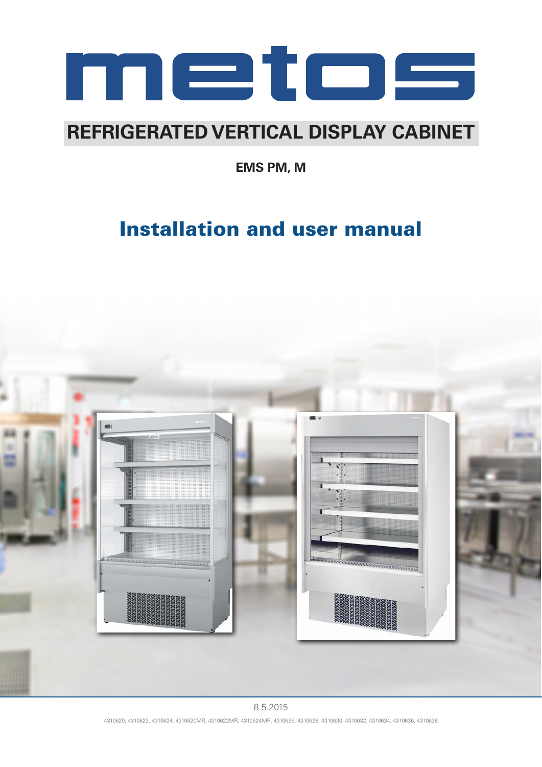

# **REFRIGERATED VERTICAL DISPLAY CABINET**

**EMS PM, M**

# Installation and user manual



8.5.2015 4310620, 4310622, 4310624, 4310620MR, 4310622MR, 4310624MR, 4310626, 4310628, 4310630, 4310632, 4310634, 4310636, 4310638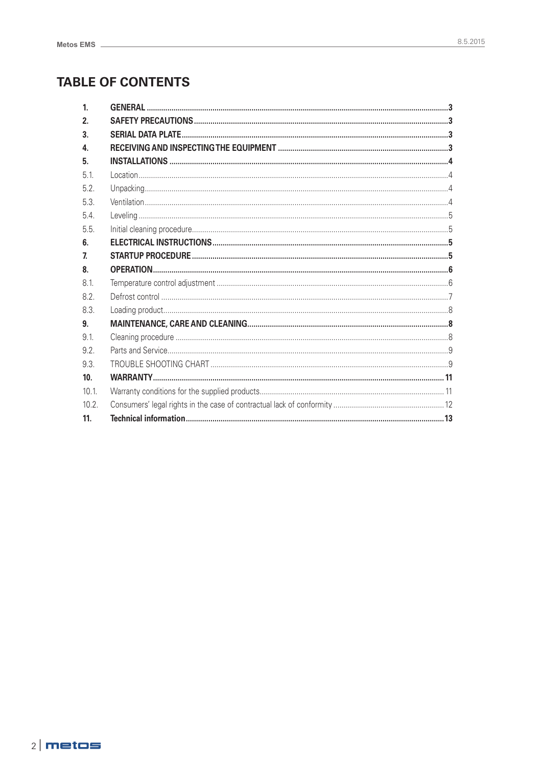## **TABLE OF CONTENTS**

| 1 <sub>1</sub> |  |
|----------------|--|
| 2.             |  |
| 3.             |  |
| 4.             |  |
| 5.             |  |
| 5.1            |  |
| 5.2            |  |
| 5.3            |  |
| 5.4            |  |
| 5.5.           |  |
| 6.             |  |
| $\overline{L}$ |  |
| 8.             |  |
| 8.1            |  |
| 8.2            |  |
| 8.3.           |  |
| 9.             |  |
| 9.1            |  |
| 9.2            |  |
| 9.3.           |  |
| 10.            |  |
| 10.1.          |  |
| 10.2.          |  |
| 11.            |  |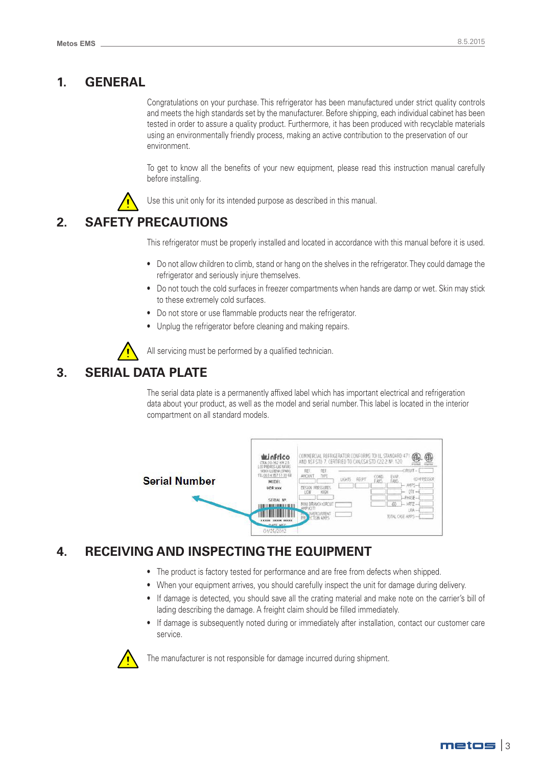## **1. GENERAL**

Congratulations on your purchase. This refrigerator has been manufactured under strict quality controls and meets the high standards set by the manufacturer. Before shipping, each individual cabinet has been tested in order to assure a quality product. Furthermore, it has been produced with recyclable materials using an environmentally friendly process, making an active contribution to the preservation of our environment.

To get to know all the benefits of your new equipment, please read this instruction manual carefully before installing.

Use this unit only for its intended purpose as described in this manual.

## **2. SAFETY PRECAUTIONS**

This refrigerator must be properly installed and located in accordance with this manual before it is used.

- Do not allow children to climb, stand or hang on the shelves in the refrigerator. They could damage the refrigerator and seriously injure themselves.
- Do not touch the cold surfaces in freezer compartments when hands are damp or wet. Skin may stick to these extremely cold surfaces.
- Do not store or use flammable products near the refrigerator.
- Unplug the refrigerator before cleaning and making repairs.



All servicing must be performed by a qualified technician.

## **3. SERIAL DATA PLATE**

The serial data plate is a permanently affixed label which has important electrical and refrigeration data about your product, as well as the model and serial number. This label is located in the interior compartment on all standard models.



## **4. RECEIVING AND INSPECTING THE EQUIPMENT**

- The product is factory tested for performance and are free from defects when shipped.
- When your equipment arrives, you should carefully inspect the unit for damage during delivery.
- If damage is detected, you should save all the crating material and make note on the carrier's bill of lading describing the damage. A freight claim should be filled immediately.
- If damage is subsequently noted during or immediately after installation, contact our customer care service.



The manufacturer is not responsible for damage incurred during shipment.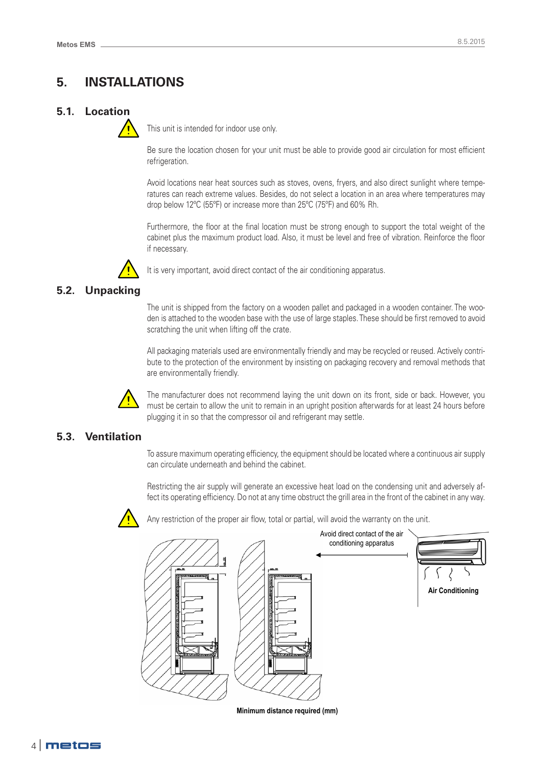## **5. INSTALLATIONS**

## **5.1. Location**



This unit is intended for indoor use only.

Be sure the location chosen for your unit must be able to provide good air circulation for most efficient refrigeration.

Avoid locations near heat sources such as stoves, ovens, fryers, and also direct sunlight where temperatures can reach extreme values. Besides, do not select a location in an area where temperatures may drop below 12ºC (55ºF) or increase more than 25ºC (75ºF) and 60% Rh.

Furthermore, the floor at the final location must be strong enough to support the total weight of the cabinet plus the maximum product load. Also, it must be level and free of vibration. Reinforce the floor if necessary.



It is very important, avoid direct contact of the air conditioning apparatus.

## **5.2. Unpacking**

The unit is shipped from the factory on a wooden pallet and packaged in a wooden container. The wooden is attached to the wooden base with the use of large staples. These should be first removed to avoid scratching the unit when lifting off the crate.

All packaging materials used are environmentally friendly and may be recycled or reused. Actively contribute to the protection of the environment by insisting on packaging recovery and removal methods that are environmentally friendly.



The manufacturer does not recommend laying the unit down on its front, side or back. However, you must be certain to allow the unit to remain in an upright position afterwards for at least 24 hours before plugging it in so that the compressor oil and refrigerant may settle.

## **5.3. Ventilation**

To assure maximum operating efficiency, the equipment should be located where a continuous air supply can circulate underneath and behind the cabinet.

Restricting the air supply will generate an excessive heat load on the condensing unit and adversely affect its operating efficiency. Do not at any time obstruct the grill area in the front of the cabinet in any way.



Any restriction of the proper air flow, total or partial, will avoid the warranty on the unit.



**Minimum distance required (mm)**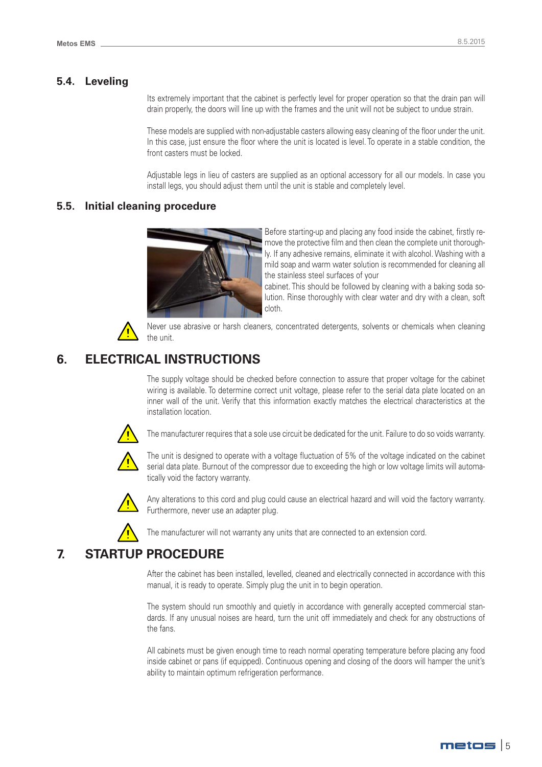#### **5.4. Leveling**

Its extremely important that the cabinet is perfectly level for proper operation so that the drain pan will drain properly, the doors will line up with the frames and the unit will not be subject to undue strain.

These models are supplied with non-adjustable casters allowing easy cleaning of the floor under the unit. In this case, just ensure the floor where the unit is located is level. To operate in a stable condition, the front casters must be locked.

Adjustable legs in lieu of casters are supplied as an optional accessory for all our models. In case you install legs, you should adjust them until the unit is stable and completely level.

#### **5.5. Initial cleaning procedure**



Before starting-up and placing any food inside the cabinet, firstly remove the protective film and then clean the complete unit thoroughly. If any adhesive remains, eliminate it with alcohol. Washing with a mild soap and warm water solution is recommended for cleaning all the stainless steel surfaces of your

cabinet. This should be followed by cleaning with a baking soda solution. Rinse thoroughly with clear water and dry with a clean, soft cloth.



Never use abrasive or harsh cleaners, concentrated detergents, solvents or chemicals when cleaning the unit.

## **6. ELECTRICAL INSTRUCTIONS**

The supply voltage should be checked before connection to assure that proper voltage for the cabinet wiring is available. To determine correct unit voltage, please refer to the serial data plate located on an inner wall of the unit. Verify that this information exactly matches the electrical characteristics at the installation location.



The manufacturer requires that a sole use circuit be dedicated for the unit. Failure to do so voids warranty.



The unit is designed to operate with a voltage fluctuation of 5% of the voltage indicated on the cabinet serial data plate. Burnout of the compressor due to exceeding the high or low voltage limits will automatically void the factory warranty.



Any alterations to this cord and plug could cause an electrical hazard and will void the factory warranty. Furthermore, never use an adapter plug.

The manufacturer will not warranty any units that are connected to an extension cord.

## **7. STARTUP PROCEDURE**

After the cabinet has been installed, levelled, cleaned and electrically connected in accordance with this manual, it is ready to operate. Simply plug the unit in to begin operation.

The system should run smoothly and quietly in accordance with generally accepted commercial standards. If any unusual noises are heard, turn the unit off immediately and check for any obstructions of the fans.

All cabinets must be given enough time to reach normal operating temperature before placing any food inside cabinet or pans (if equipped). Continuous opening and closing of the doors will hamper the unit's ability to maintain optimum refrigeration performance.

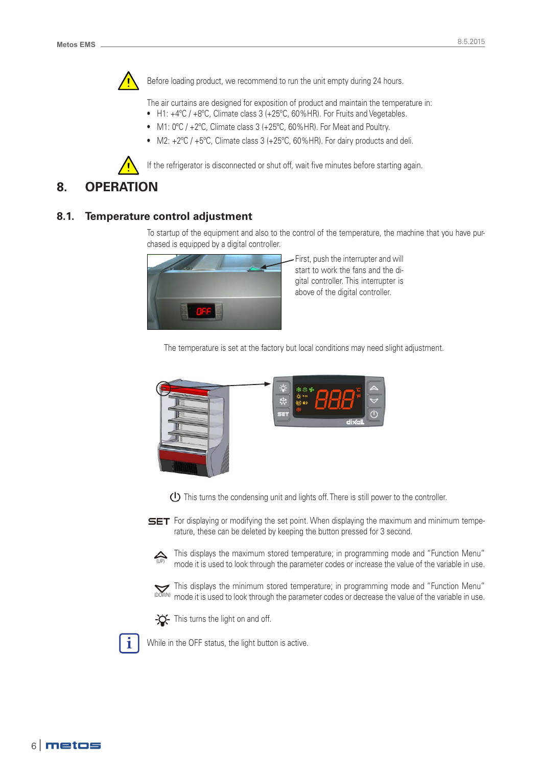

Before loading product, we recommend to run the unit empty during 24 hours.

The air curtains are designed for exposition of product and maintain the temperature in:

- H1: +4ºC / +8ºC, Climate class 3 (+25ºC, 60%HR). For Fruits and Vegetables.
- M1: 0ºC / +2ºC, Climate class 3 (+25ºC, 60%HR). For Meat and Poultry.
- M2:  $+2^{\circ}C$  /  $+5^{\circ}C$ , Climate class 3 ( $+25^{\circ}C$ , 60% HR). For dairy products and deli.

If the refrigerator is disconnected or shut off, wait five minutes before starting again.

## **8. OPERATION**

#### **8.1. Temperature control adjustment**

To startup of the equipment and also to the control of the temperature, the machine that you have purchased is equipped by a digital controller.



First, push the interrupter and will start to work the fans and the digital controller. This interrupter is above of the digital controller.

The temperature is set at the factory but local conditions may need slight adjustment.



 $\bigoplus$  This turns the condensing unit and lights off. There is still power to the controller.



**SET** For displaying or modifying the set point. When displaying the maximum and minimum temperature, these can be deleted by keeping the button pressed for 3 second.



This displays the maximum stored temperature; in programming mode and "Function Menu"  $\sum_{(UP)}$  mode it is used to leak through the personator sedes at increase the value of the variable in use. mode it is used to look through the parameter codes or increase the value of the variable in use.

This displays the minimum stored temperature; in programming mode and "Function Menu" mode it is used to look through the parameter codes or decrease the value of the variable in use. (DOWN)



 $-Q$  This turns the light on and off.



While in the OFF status, the light button is active.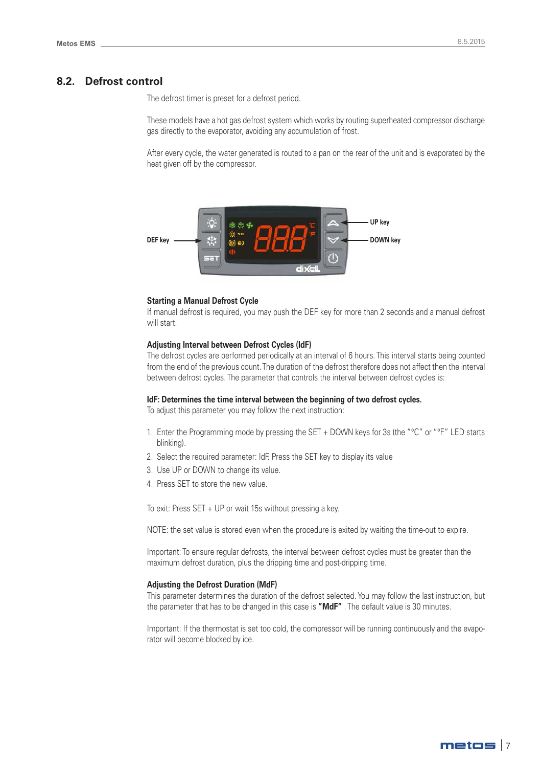#### **8.2. Defrost control**

The defrost timer is preset for a defrost period.

These models have a hot gas defrost system which works by routing superheated compressor discharge gas directly to the evaporator, avoiding any accumulation of frost.

After every cycle, the water generated is routed to a pan on the rear of the unit and is evaporated by the heat given off by the compressor.



#### **Starting a Manual Defrost Cycle**

If manual defrost is required, you may push the DEF key for more than 2 seconds and a manual defrost will start.

#### **Adjusting Interval between Defrost Cycles (IdF)**

The defrost cycles are performed periodically at an interval of 6 hours. This interval starts being counted from the end of the previous count. The duration of the defrost therefore does not affect then the interval between defrost cycles. The parameter that controls the interval between defrost cycles is:

#### **IdF: Determines the time interval between the beginning of two defrost cycles.**

To adjust this parameter you may follow the next instruction:

- 1. Enter the Programming mode by pressing the SET + DOWN keys for 3s (the "°C" or "°F" LED starts blinking).
- 2. Select the required parameter: IdF. Press the SET key to display its value
- 3. Use UP or DOWN to change its value.
- 4. Press SET to store the new value.

To exit: Press SET + UP or wait 15s without pressing a key.

NOTE: the set value is stored even when the procedure is exited by waiting the time-out to expire.

Important: To ensure regular defrosts, the interval between defrost cycles must be greater than the maximum defrost duration, plus the dripping time and post-dripping time.

#### **Adjusting the Defrost Duration (MdF)**

This parameter determines the duration of the defrost selected. You may follow the last instruction, but the parameter that has to be changed in this case is **"MdF"** . The default value is 30 minutes.

Important: If the thermostat is set too cold, the compressor will be running continuously and the evaporator will become blocked by ice.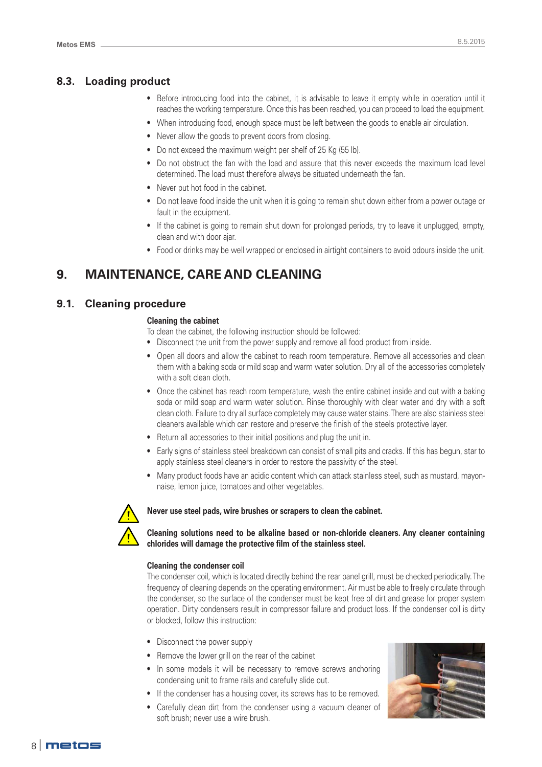## **8.3. Loading product**

- Before introducing food into the cabinet, it is advisable to leave it empty while in operation until it reaches the working temperature. Once this has been reached, you can proceed to load the equipment.
- When introducing food, enough space must be left between the goods to enable air circulation.
- Never allow the goods to prevent doors from closing.
- Do not exceed the maximum weight per shelf of 25 Kg (55 lb).
- Do not obstruct the fan with the load and assure that this never exceeds the maximum load level determined. The load must therefore always be situated underneath the fan.
- Never put hot food in the cabinet.
- Do not leave food inside the unit when it is going to remain shut down either from a power outage or fault in the equipment.
- If the cabinet is going to remain shut down for prolonged periods, try to leave it unplugged, empty, clean and with door ajar.
- Food or drinks may be well wrapped or enclosed in airtight containers to avoid odours inside the unit.

## **9. MAINTENANCE, CARE AND CLEANING**

## **9.1. Cleaning procedure**

#### **Cleaning the cabinet**

- To clean the cabinet, the following instruction should be followed:
- Disconnect the unit from the power supply and remove all food product from inside.
- Open all doors and allow the cabinet to reach room temperature. Remove all accessories and clean them with a baking soda or mild soap and warm water solution. Dry all of the accessories completely with a soft clean cloth.
- Once the cabinet has reach room temperature, wash the entire cabinet inside and out with a baking soda or mild soap and warm water solution. Rinse thoroughly with clear water and dry with a soft clean cloth. Failure to dry all surface completely may cause water stains. There are also stainless steel cleaners available which can restore and preserve the finish of the steels protective layer.
- Return all accessories to their initial positions and plug the unit in.
- Early signs of stainless steel breakdown can consist of small pits and cracks. If this has begun, star to apply stainless steel cleaners in order to restore the passivity of the steel.
- Many product foods have an acidic content which can attack stainless steel, such as mustard, mayonnaise, lemon juice, tomatoes and other vegetables.



#### **Never use steel pads, wire brushes or scrapers to clean the cabinet.**

**Cleaning solutions need to be alkaline based or non-chloride cleaners. Any cleaner containing chlorides will damage the protective film of the stainless steel.**

#### **Cleaning the condenser coil**

The condenser coil, which is located directly behind the rear panel grill, must be checked periodically. The frequency of cleaning depends on the operating environment. Air must be able to freely circulate through the condenser, so the surface of the condenser must be kept free of dirt and grease for proper system operation. Dirty condensers result in compressor failure and product loss. If the condenser coil is dirty or blocked, follow this instruction:

- Disconnect the power supply
- Remove the lower grill on the rear of the cabinet
- In some models it will be necessary to remove screws anchoring condensing unit to frame rails and carefully slide out.
- If the condenser has a housing cover, its screws has to be removed.
- Carefully clean dirt from the condenser using a vacuum cleaner of soft brush; never use a wire brush.

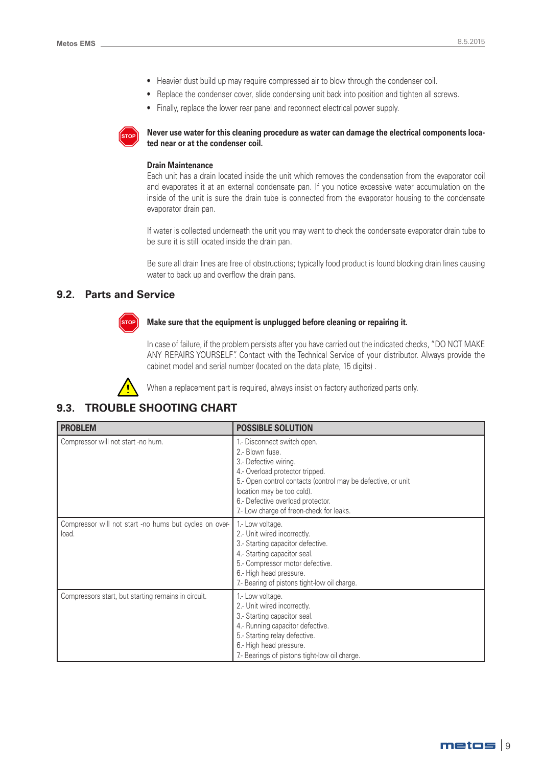- Heavier dust build up may require compressed air to blow through the condenser coil.
- Replace the condenser cover, slide condensing unit back into position and tighten all screws.
- Finally, replace the lower rear panel and reconnect electrical power supply.



**Never use water for this cleaning procedure as water can damage the electrical components located near or at the condenser coil.**

#### **Drain Maintenance**

Each unit has a drain located inside the unit which removes the condensation from the evaporator coil and evaporates it at an external condensate pan. If you notice excessive water accumulation on the inside of the unit is sure the drain tube is connected from the evaporator housing to the condensate evaporator drain pan.

If water is collected underneath the unit you may want to check the condensate evaporator drain tube to be sure it is still located inside the drain pan.

Be sure all drain lines are free of obstructions; typically food product is found blocking drain lines causing water to back up and overflow the drain pans.

## **9.2. Parts and Service**



#### **Make sure that the equipment is unplugged before cleaning or repairing it.**

In case of failure, if the problem persists after you have carried out the indicated checks, "DO NOT MAKE ANY REPAIRS YOURSELF". Contact with the Technical Service of your distributor. Always provide the cabinet model and serial number (located on the data plate, 15 digits) .



When a replacement part is required, always insist on factory authorized parts only.

## **9.3. TROUBLE SHOOTING CHART**

| <b>PROBLEM</b>                                                  | <b>POSSIBLE SOLUTION</b>                                                                                                                                                                                                                                                                  |
|-----------------------------------------------------------------|-------------------------------------------------------------------------------------------------------------------------------------------------------------------------------------------------------------------------------------------------------------------------------------------|
| Compressor will not start -no hum.                              | 1.- Disconnect switch open.<br>2.- Blown fuse.<br>3.- Defective wiring.<br>4.- Overload protector tripped.<br>5.- Open control contacts (control may be defective, or unit<br>location may be too cold).<br>6.- Defective overload protector.<br>7.- Low charge of freon-check for leaks. |
| Compressor will not start -no hums but cycles on over-<br>load. | 1.- Low voltage.<br>2.- Unit wired incorrectly.<br>3.- Starting capacitor defective.<br>4.- Starting capacitor seal.<br>5.- Compressor motor defective.<br>6.- High head pressure.<br>7.- Bearing of pistons tight-low oil charge.                                                        |
| Compressors start, but starting remains in circuit.             | 1.- Low voltage.<br>2.- Unit wired incorrectly.<br>3.- Starting capacitor seal.<br>4.- Running capacitor defective.<br>5.- Starting relay defective.<br>6.- High head pressure.<br>7.- Bearings of pistons tight-low oil charge.                                                          |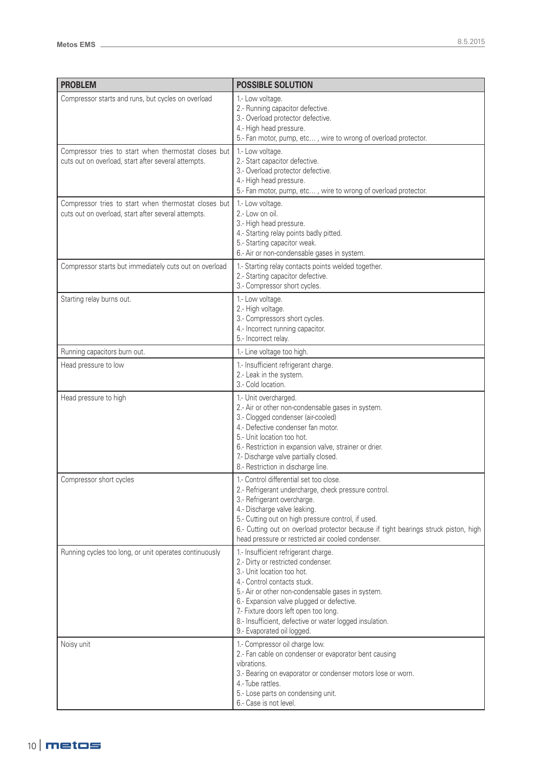| <b>PROBLEM</b>                                                                                              | <b>POSSIBLE SOLUTION</b>                                                                                                                                                                                                                                                                                                                                                    |
|-------------------------------------------------------------------------------------------------------------|-----------------------------------------------------------------------------------------------------------------------------------------------------------------------------------------------------------------------------------------------------------------------------------------------------------------------------------------------------------------------------|
| Compressor starts and runs, but cycles on overload                                                          | 1.- Low voltage.<br>2.- Running capacitor defective.<br>3.- Overload protector defective.<br>4.- High head pressure.<br>5.- Fan motor, pump, etc, wire to wrong of overload protector.                                                                                                                                                                                      |
| Compressor tries to start when thermostat closes but<br>cuts out on overload, start after several attempts. | 1.- Low voltage.<br>2.- Start capacitor defective.<br>3.- Overload protector defective.<br>4.- High head pressure.<br>5.- Fan motor, pump, etc, wire to wrong of overload protector.                                                                                                                                                                                        |
| Compressor tries to start when thermostat closes but<br>cuts out on overload, start after several attempts. | 1.- Low voltage.<br>2.- Low on oil.<br>3.- High head pressure.<br>4.- Starting relay points badly pitted.<br>5.- Starting capacitor weak.<br>6.- Air or non-condensable gases in system.                                                                                                                                                                                    |
| Compressor starts but immediately cuts out on overload                                                      | 1.- Starting relay contacts points welded together.<br>2.- Starting capacitor defective.<br>3.- Compressor short cycles.                                                                                                                                                                                                                                                    |
| Starting relay burns out.                                                                                   | 1.- Low voltage.<br>2.- High voltage.<br>3.- Compressors short cycles.<br>4.- Incorrect running capacitor.<br>5.- Incorrect relay.                                                                                                                                                                                                                                          |
| Running capacitors burn out.                                                                                | 1.- Line voltage too high.                                                                                                                                                                                                                                                                                                                                                  |
| Head pressure to low                                                                                        | 1.- Insufficient refrigerant charge.<br>2.- Leak in the system.<br>3.- Cold location.                                                                                                                                                                                                                                                                                       |
| Head pressure to high                                                                                       | 1.- Unit overcharged.<br>2.- Air or other non-condensable gases in system.<br>3.- Clogged condenser (air-cooled)<br>4.- Defective condenser fan motor.<br>5.- Unit location too hot.<br>6.- Restriction in expansion valve, strainer or drier.<br>7.- Discharge valve partially closed.<br>8.- Restriction in discharge line.                                               |
| Compressor short cycles                                                                                     | 1.- Control differential set too close.<br>2.- Refrigerant undercharge, check pressure control.<br>3.- Refrigerant overcharge.<br>4.- Discharge valve leaking.<br>5.- Cutting out on high pressure control, if used.<br>6.- Cutting out on overload protector because if tight bearings struck piston, high<br>head pressure or restricted air cooled condenser.            |
| Running cycles too long, or unit operates continuously                                                      | 1.- Insufficient refrigerant charge.<br>2.- Dirty or restricted condenser.<br>3.- Unit location too hot.<br>4.- Control contacts stuck.<br>5.- Air or other non-condensable gases in system.<br>6.- Expansion valve plugged or defective.<br>7.- Fixture doors left open too long.<br>8.- Insufficient, defective or water logged insulation.<br>9.- Evaporated oil logged. |
| Noisy unit                                                                                                  | 1.- Compressor oil charge low.<br>2.- Fan cable on condenser or evaporator bent causing<br>vibrations.<br>3.- Bearing on evaporator or condenser motors lose or worn.<br>4.-Tube rattles.<br>5.- Lose parts on condensing unit.<br>6.- Case is not level.                                                                                                                   |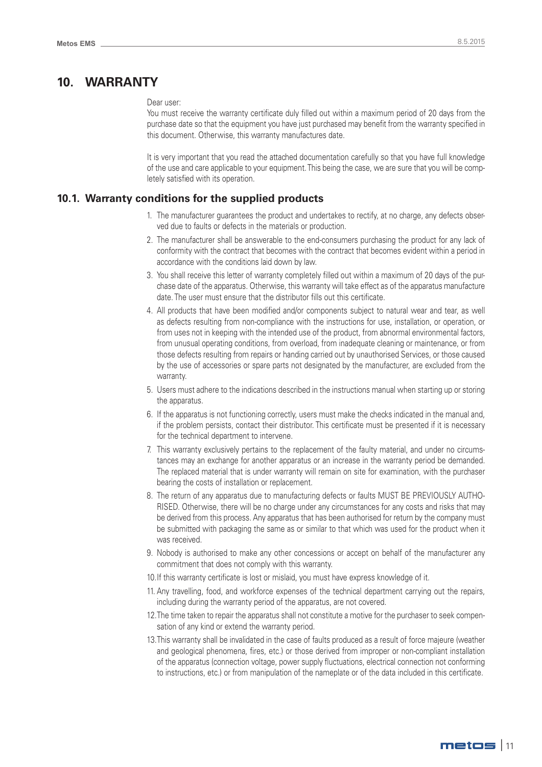## **10. WARRANTY**

#### Dear user:

You must receive the warranty certificate duly filled out within a maximum period of 20 days from the purchase date so that the equipment you have just purchased may benefit from the warranty specified in this document. Otherwise, this warranty manufactures date.

It is very important that you read the attached documentation carefully so that you have full knowledge of the use and care applicable to your equipment. This being the case, we are sure that you will be completely satisfied with its operation.

#### **10.1. Warranty conditions for the supplied products**

- 1. The manufacturer guarantees the product and undertakes to rectify, at no charge, any defects observed due to faults or defects in the materials or production.
- 2. The manufacturer shall be answerable to the end-consumers purchasing the product for any lack of conformity with the contract that becomes with the contract that becomes evident within a period in accordance with the conditions laid down by law.
- 3. You shall receive this letter of warranty completely filled out within a maximum of 20 days of the purchase date of the apparatus. Otherwise, this warranty will take effect as of the apparatus manufacture date. The user must ensure that the distributor fills out this certificate.
- 4. All products that have been modified and/or components subject to natural wear and tear, as well as defects resulting from non-compliance with the instructions for use, installation, or operation, or from uses not in keeping with the intended use of the product, from abnormal environmental factors, from unusual operating conditions, from overload, from inadequate cleaning or maintenance, or from those defects resulting from repairs or handing carried out by unauthorised Services, or those caused by the use of accessories or spare parts not designated by the manufacturer, are excluded from the warranty.
- 5. Users must adhere to the indications described in the instructions manual when starting up or storing the apparatus.
- 6. If the apparatus is not functioning correctly, users must make the checks indicated in the manual and, if the problem persists, contact their distributor. This certificate must be presented if it is necessary for the technical department to intervene.
- 7. This warranty exclusively pertains to the replacement of the faulty material, and under no circumstances may an exchange for another apparatus or an increase in the warranty period be demanded. The replaced material that is under warranty will remain on site for examination, with the purchaser bearing the costs of installation or replacement.
- 8. The return of any apparatus due to manufacturing defects or faults MUST BE PREVIOUSLY AUTHO-RISED. Otherwise, there will be no charge under any circumstances for any costs and risks that may be derived from this process. Any apparatus that has been authorised for return by the company must be submitted with packaging the same as or similar to that which was used for the product when it was received.
- 9. Nobody is authorised to make any other concessions or accept on behalf of the manufacturer any commitment that does not comply with this warranty.
- 10.If this warranty certificate is lost or mislaid, you must have express knowledge of it.
- 11. Any travelling, food, and workforce expenses of the technical department carrying out the repairs, including during the warranty period of the apparatus, are not covered.
- 12.The time taken to repair the apparatus shall not constitute a motive for the purchaser to seek compensation of any kind or extend the warranty period.
- 13.This warranty shall be invalidated in the case of faults produced as a result of force majeure (weather and geological phenomena, fires, etc.) or those derived from improper or non-compliant installation of the apparatus (connection voltage, power supply fluctuations, electrical connection not conforming to instructions, etc.) or from manipulation of the nameplate or of the data included in this certificate.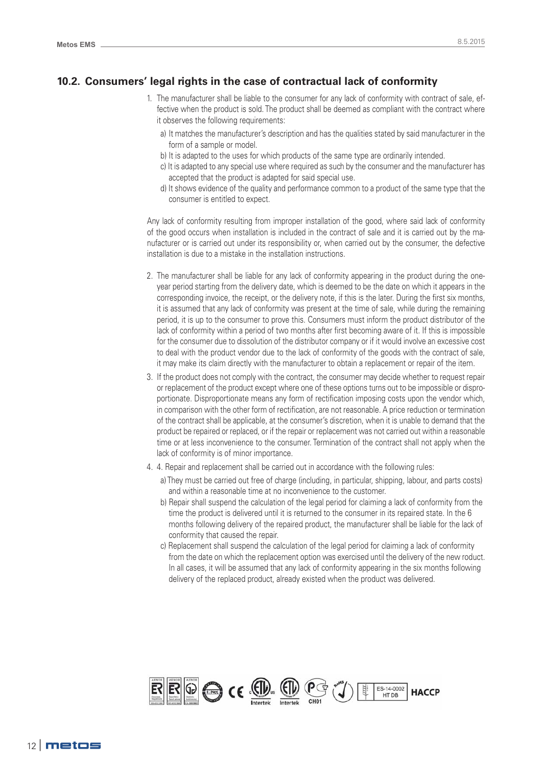## **10.2. Consumers' legal rights in the case of contractual lack of conformity**

- 1. The manufacturer shall be liable to the consumer for any lack of conformity with contract of sale, effective when the product is sold. The product shall be deemed as compliant with the contract where it observes the following requirements:
	- a) It matches the manufacturer's description and has the qualities stated by said manufacturer in the form of a sample or model.
	- b) It is adapted to the uses for which products of the same type are ordinarily intended.
	- c) It is adapted to any special use where required as such by the consumer and the manufacturer has accepted that the product is adapted for said special use.
	- d) It shows evidence of the quality and performance common to a product of the same type that the consumer is entitled to expect.

Any lack of conformity resulting from improper installation of the good, where said lack of conformity of the good occurs when installation is included in the contract of sale and it is carried out by the manufacturer or is carried out under its responsibility or, when carried out by the consumer, the defective installation is due to a mistake in the installation instructions.

- 2. The manufacturer shall be liable for any lack of conformity appearing in the product during the oneyear period starting from the delivery date, which is deemed to be the date on which it appears in the corresponding invoice, the receipt, or the delivery note, if this is the later. During the first six months, it is assumed that any lack of conformity was present at the time of sale, while during the remaining period, it is up to the consumer to prove this. Consumers must inform the product distributor of the lack of conformity within a period of two months after first becoming aware of it. If this is impossible for the consumer due to dissolution of the distributor company or if it would involve an excessive cost to deal with the product vendor due to the lack of conformity of the goods with the contract of sale, it may make its claim directly with the manufacturer to obtain a replacement or repair of the item.
- 3. If the product does not comply with the contract, the consumer may decide whether to request repair or replacement of the product except where one of these options turns out to be impossible or disproportionate. Disproportionate means any form of rectification imposing costs upon the vendor which, in comparison with the other form of rectification, are not reasonable. A price reduction or termination of the contract shall be applicable, at the consumer's discretion, when it is unable to demand that the product be repaired or replaced, or if the repair or replacement was not carried out within a reasonable time or at less inconvenience to the consumer. Termination of the contract shall not apply when the lack of conformity is of minor importance.
- 4. 4. Repair and replacement shall be carried out in accordance with the following rules:
	- a) They must be carried out free of charge (including, in particular, shipping, labour, and parts costs) and within a reasonable time at no inconvenience to the customer.
	- b) Repair shall suspend the calculation of the legal period for claiming a lack of conformity from the time the product is delivered until it is returned to the consumer in its repaired state. In the 6 months following delivery of the repaired product, the manufacturer shall be liable for the lack of conformity that caused the repair.
	- c) Replacement shall suspend the calculation of the legal period for claiming a lack of conformity from the date on which the replacement option was exercised until the delivery of the new roduct. In all cases, it will be assumed that any lack of conformity appearing in the six months following delivery of the replaced product, already existed when the product was delivered.

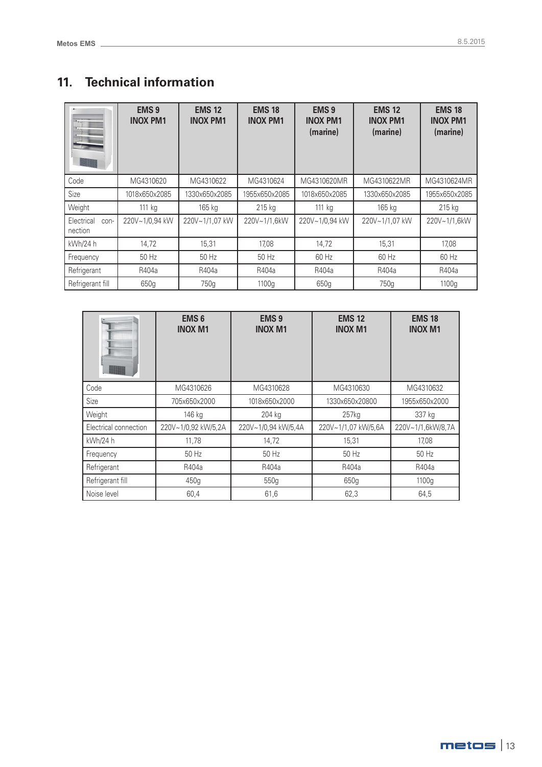## **11. Technical information**

|                               | <b>EMS 9</b><br><b>INOX PM1</b> | <b>EMS 12</b><br><b>INOX PM1</b> | <b>EMS 18</b><br><b>INOX PM1</b> | <b>EMS 9</b><br><b>INOX PM1</b><br>(marine) | <b>EMS 12</b><br><b>INOX PM1</b><br>(marine) | <b>EMS 18</b><br><b>INOX PM1</b><br>(marine) |
|-------------------------------|---------------------------------|----------------------------------|----------------------------------|---------------------------------------------|----------------------------------------------|----------------------------------------------|
| Code                          | MG4310620                       | MG4310622                        | MG4310624                        | MG4310620MR                                 | MG4310622MR                                  | MG4310624MR                                  |
| Size                          | 1018x650x2085                   | 1330x650x2085                    | 1955x650x2085                    | 1018x650x2085                               | 1330x650x2085                                | 1955x650x2085                                |
| Weight                        | 111 kg                          | 165 kg                           | 215 kg                           | 111 kg                                      | 165 kg                                       | $215$ kg                                     |
| Electrical<br>con-<br>nection | 220V~1/0,94 kW                  | 220V~1/1.07 kW                   | 220V~1/1.6kW                     | 220V~1/0,94 kW                              | 220V~1/1.07 kW                               | 220V~1/1,6kW                                 |
| kWh/24 h                      | 14,72                           | 15,31                            | 17,08                            | 14,72                                       | 15,31                                        | 17,08                                        |
| Frequency                     | 50 Hz                           | 50 Hz                            | 50 Hz                            | 60 Hz                                       | 60 Hz                                        | 60 Hz                                        |
| Refrigerant                   | R404a                           | R404a                            | R404a                            | R404a                                       | R404a                                        | R404a                                        |
| Refrigerant fill              | 650g                            | 750g                             | 1100g                            | 650g                                        | 750g                                         | 1100g                                        |

|                       | <b>EMS 6</b><br><b>INOX M1</b> | <b>EMS 9</b><br><b>INOX M1</b> | <b>EMS 12</b><br><b>INOX M1</b> | <b>EMS 18</b><br><b>INOX M1</b> |
|-----------------------|--------------------------------|--------------------------------|---------------------------------|---------------------------------|
| Code                  | MG4310626                      | MG4310628                      | MG4310630                       | MG4310632                       |
| Size                  | 705x650x2000                   | 1018x650x2000                  | 1330x650x20800                  | 1955x650x2000                   |
| Weight                | 146 kg                         | 204 kg                         | 257kg                           | 337 kg                          |
| Electrical connection | 220V~1/0,92 kW/5,2A            | 220V~1/0,94 kW/5,4A            | 220V~1/1,07 kW/5,6A             | 220V~1/1,6kW/8,7A               |
| kWh/24 h              | 11,78                          | 14,72                          | 15,31                           | 17,08                           |
| Frequency             | 50 Hz                          | 50 Hz                          | 50 Hz                           | 50 Hz                           |
| Refrigerant           | R404a                          | R404a                          | R404a                           | R404a                           |
| Refrigerant fill      | 450g                           | 550g                           | 650g                            | 1100g                           |
| Noise level           | 60,4                           | 61,6                           | 62,3                            | 64,5                            |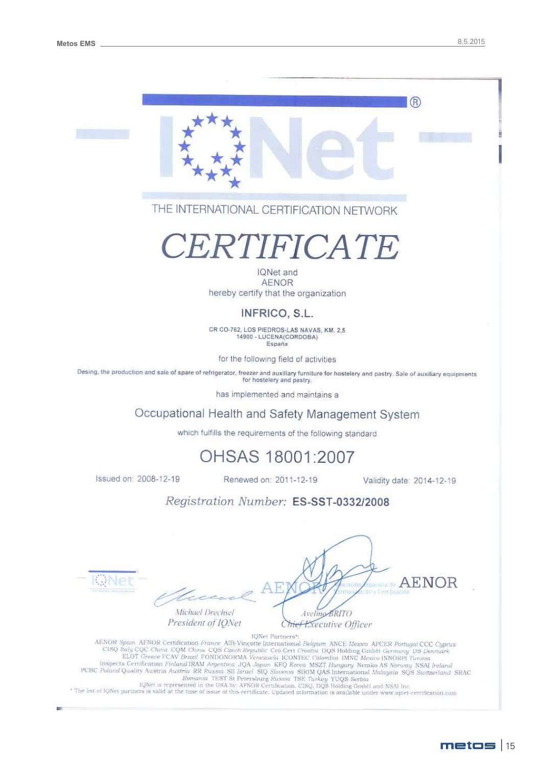$(R)$ 





# CERTIFICATE

IONet and **AENOR** hereby certify that the organization

## INFRICO, S.L.

CR CO-762, LOS PIEDROS-LAS NAVAS, KM. 2,5 14900 - LUCENA(CORDOBA) España

for the following field of activities

Desing, the production and sale of spare of refrigerator, freezer and auxiliary furniture for hostelery and pastry. Sale of auxiliary equipments for hostelery and pastry.

has implemented and maintains a

## Occupational Health and Safety Management System

which fulfills the requirements of the following standard

## OHSAS 18001:2007

Issued on: 2008-12-19

Renewed on: 2011-12-19

Validity date: 2014-12-19

**AENOR** 

## Registration Number: ES-SST-0332/2008

wNei

**Cy Centrican** Michael Drechsel Avelino BRITO President of IONet

Chief Executive Officer

IQNet Partners\* AENOR Spain AFNOR Certification France AIB-Vincotte International Belgram ANCE Mexico APCER Portugal CCC Cyprus<br>CISQ haly CQC China CQM China CQS Czech Republic Cro Cert Croatia DQS Holding GmbH Germany DS Denmark<br>ELOT Gre ELOT UPSER PUAN DRAIN MORE CONTROL COMMISE USING MANU MEXICO INNUNFIT TURISIAL INCREDIBLE CENTIFICATION FINIMAM Argentina JQA Japan KFQ Korea MSZT Hungary Nemix Austria Austria Austria RICE Related IN NAME PUBLIC Poland Qu